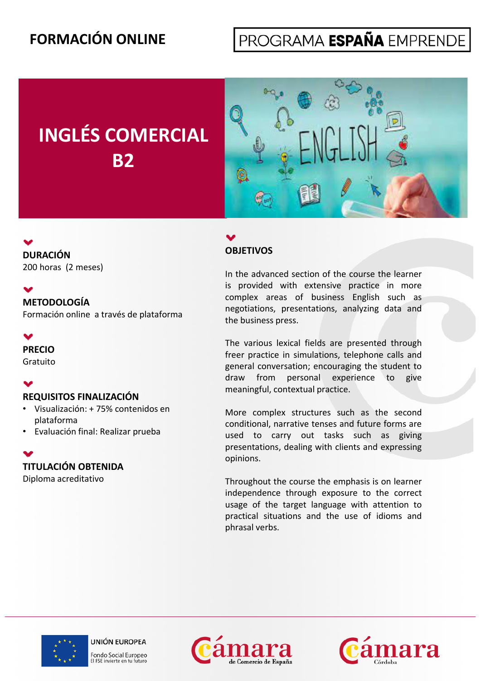# **FORMACIÓN ONLINE**

# PROGRAMA ESPAÑA EMPRENDE

# **INGLÉS COMERCIAL B2**



## **OBJETIVOS**

In the advanced section of the course the learner is provided with extensive practice in more complex areas of business English such as negotiations, presentations, analyzing data and the business press.

The various lexical fields are presented through freer practice in simulations, telephone calls and general conversation; encouraging the student to draw from personal experience to give meaningful, contextual practice.

More complex structures such as the second conditional, narrative tenses and future forms are used to carry out tasks such as giving presentations, dealing with clients and expressing opinions.

Throughout the course the emphasis is on learner independence through exposure to the correct usage of the target language with attention to practical situations and the use of idioms and phrasal verbs .







**DURACIÓN** 200 horas (2 meses)

#### M

**METODOLOGÍA** 

Formación online a través de plataforma

### $\bullet$

**PRECIO**

Gratuito

#### $\blacktriangledown$

**REQUISITOS FINALIZACIÓN**

- Visualización: + 75% contenidos en plataforma
- Evaluación final: Realizar prueba

#### **TITULACIÓN OBTENIDA**

Diploma acreditativo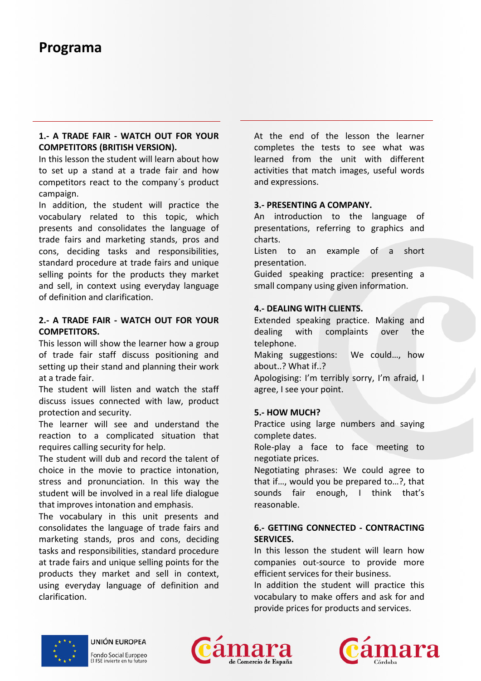### **Programa**

#### **1.- A TRADE FAIR - WATCH OUT FOR YOUR COMPETITORS (BRITISH VERSION).**

In this lesson the student will learn about how to set up a stand at a trade fair and how competitors react to the company´s product campaign.

In addition, the student will practice the vocabulary related to this topic, which presents and consolidates the language of trade fairs and marketing stands, pros and cons, deciding tasks and responsibilities, standard procedure at trade fairs and unique selling points for the products they market and sell, in context using everyday language of definition and clarification.

#### **2.- A TRADE FAIR - WATCH OUT FOR YOUR COMPETITORS.**

This lesson will show the learner how a group of trade fair staff discuss positioning and setting up their stand and planning their work at a trade fair

The student will listen and watch the staff discuss issues connected with law, product protection and security.

The learner will see and understand the reaction to a complicated situation that requires calling security for help.

The student will dub and record the talent of choice in the movie to practice intonation, stress and pronunciation. In this way the student will be involved in a real life dialogue that improves intonation and emphasis.

The vocabulary in this unit presents and consolidates the language of trade fairs and marketing stands, pros and cons, deciding tasks and responsibilities, standard procedure at trade fairs and unique selling points for the products they market and sell in context, using everyday language of definition and clarification.

At the end of the lesson the learner **(BRITISH VERSION).** The completes the tests to see what was learned from the unit with different activities that match images, useful words and expressions.

#### **3.- PRESENTING A COMPANY.**

An introduction to the language of f better presentations, referring to graphics and charts.

> Listen to an example of a short presentation.

> Guided speaking practice: presenting a small company using given information.

#### **4.- DEALING WITH CLIENTS.**

Extended speaking practice. Making and dealing with complaints over the telephone.

Making suggestions: We could…, how about..? What if..?

fair. Apologising: I'm terribly sorry, I'm afraid, I m and I make the Magnetic Muslim and I material in the Ma agree, I see your point.

#### **5.- HOW MUCH?**

Practice using large numbers and saying complete dates.

Role-play a face to face meeting to negotiate prices.

Negotiating phrases: We could agree to that if…, would you be prepared to…?, that sounds fair enough, I think that's reasonable.

#### **6.- GETTING CONNECTED - CONTRACTING 6. SERVICES.**

In this lesson the student will learn how companies out-source to provide more efficient services for their business.

In addition the student will practice this vocabulary to make offers and ask for and provide prices for products and services.